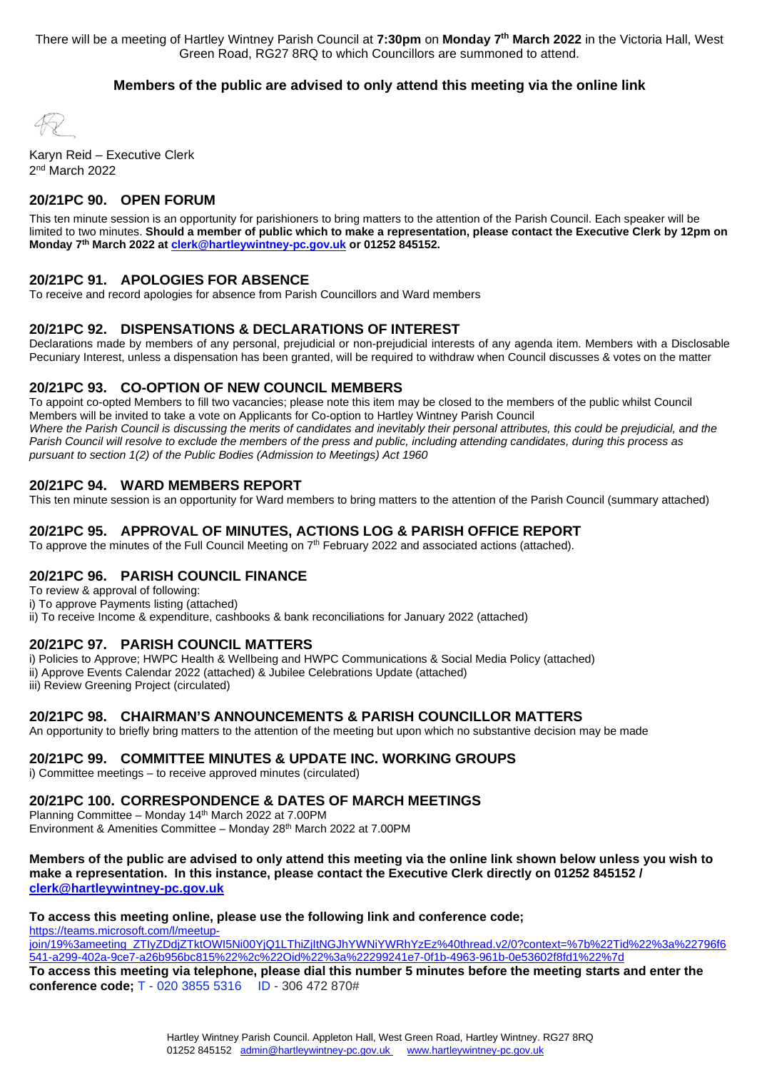There will be a meeting of Hartley Wintney Parish Council at **7:30pm** on **Monday 7th March 2022** in the Victoria Hall, West Green Road, RG27 8RQ to which Councillors are summoned to attend.

#### **Members of the public are advised to only attend this meeting via the online link**

 Karyn Reid – Executive Clerk 2nd March 2022

#### **20/21PC 90. OPEN FORUM**

This ten minute session is an opportunity for parishioners to bring matters to the attention of the Parish Council. Each speaker will be limited to two minutes. **Should a member of public which to make a representation, please contact the Executive Clerk by 12pm on Monday 7th March 2022 a[t clerk@hartleywintney-pc.gov.uk](mailto:clerk@hartleywintney-pc.gov.uk) or 01252 845152.**

#### **20/21PC 91. APOLOGIES FOR ABSENCE**

To receive and record apologies for absence from Parish Councillors and Ward members

#### **20/21PC 92. DISPENSATIONS & DECLARATIONS OF INTEREST**

Declarations made by members of any personal, prejudicial or non-prejudicial interests of any agenda item. Members with a Disclosable Pecuniary Interest, unless a dispensation has been granted, will be required to withdraw when Council discusses & votes on the matter

#### **20/21PC 93. CO-OPTION OF NEW COUNCIL MEMBERS**

To appoint co-opted Members to fill two vacancies; please note this item may be closed to the members of the public whilst Council Members will be invited to take a vote on Applicants for Co-option to Hartley Wintney Parish Council Where the Parish Council is discussing the merits of candidates and inevitably their personal attributes, this could be prejudicial, and the *Parish Council will resolve to exclude the members of the press and public, including attending candidates, during this process as pursuant to section 1(2) of the Public Bodies (Admission to Meetings) Act 1960*

#### **20/21PC 94. WARD MEMBERS REPORT**

This ten minute session is an opportunity for Ward members to bring matters to the attention of the Parish Council (summary attached)

#### **20/21PC 95. APPROVAL OF MINUTES, ACTIONS LOG & PARISH OFFICE REPORT**

To approve the minutes of the Full Council Meeting on 7<sup>th</sup> February 2022 and associated actions (attached).

#### **20/21PC 96. PARISH COUNCIL FINANCE**

To review & approval of following:

i) To approve Payments listing (attached) ii) To receive Income & expenditure, cashbooks & bank reconciliations for January 2022 (attached)

#### **20/21PC 97. PARISH COUNCIL MATTERS**

i) Policies to Approve; HWPC Health & Wellbeing and HWPC Communications & Social Media Policy (attached) ii) Approve Events Calendar 2022 (attached) & Jubilee Celebrations Update (attached) iii) Review Greening Project (circulated)

#### **20/21PC 98. CHAIRMAN'S ANNOUNCEMENTS & PARISH COUNCILLOR MATTERS**

An opportunity to briefly bring matters to the attention of the meeting but upon which no substantive decision may be made

**20/21PC 99. COMMITTEE MINUTES & UPDATE INC. WORKING GROUPS**

i) Committee meetings – to receive approved minutes (circulated)

# **20/21PC 100. CORRESPONDENCE & DATES OF MARCH MEETINGS** Planning Committee – Monday 14th March 2022 at 7.00PM

Environment & Amenities Committee - Monday 28<sup>th</sup> March 2022 at 7.00PM

#### **Members of the public are advised to only attend this meeting via the online link shown below unless you wish to make a representation. In this instance, please contact the Executive Clerk directly on 01252 845152 / [clerk@hartleywintney-pc.gov.uk](mailto:clerk@hartleywintney-pc.gov.uk)**

#### **To access this meeting online, please use the following link and conference code;**

[https://teams.microsoft.com/l/meetup](https://teams.microsoft.com/l/meetup-join/19%3ameeting_ZTIyZDdjZTktOWI5Ni00YjQ1LThiZjItNGJhYWNiYWRhYzEz%40thread.v2/0?context=%7b%22Tid%22%3a%22796f6541-a299-402a-9ce7-a26b956bc815%22%2c%22Oid%22%3a%22299241e7-0f1b-4963-961b-0e53602f8fd1%22%7d)[join/19%3ameeting\\_ZTIyZDdjZTktOWI5Ni00YjQ1LThiZjItNGJhYWNiYWRhYzEz%40thread.v2/0?context=%7b%22Tid%22%3a%22796f6](https://teams.microsoft.com/l/meetup-join/19%3ameeting_ZTIyZDdjZTktOWI5Ni00YjQ1LThiZjItNGJhYWNiYWRhYzEz%40thread.v2/0?context=%7b%22Tid%22%3a%22796f6541-a299-402a-9ce7-a26b956bc815%22%2c%22Oid%22%3a%22299241e7-0f1b-4963-961b-0e53602f8fd1%22%7d) [541-a299-402a-9ce7-a26b956bc815%22%2c%22Oid%22%3a%22299241e7-0f1b-4963-961b-0e53602f8fd1%22%7d](https://teams.microsoft.com/l/meetup-join/19%3ameeting_ZTIyZDdjZTktOWI5Ni00YjQ1LThiZjItNGJhYWNiYWRhYzEz%40thread.v2/0?context=%7b%22Tid%22%3a%22796f6541-a299-402a-9ce7-a26b956bc815%22%2c%22Oid%22%3a%22299241e7-0f1b-4963-961b-0e53602f8fd1%22%7d)  **To access this meeting via telephone, please dial this number 5 minutes before the meeting starts and enter the conference code;** T - 020 3855 5316 ID - 306 472 870#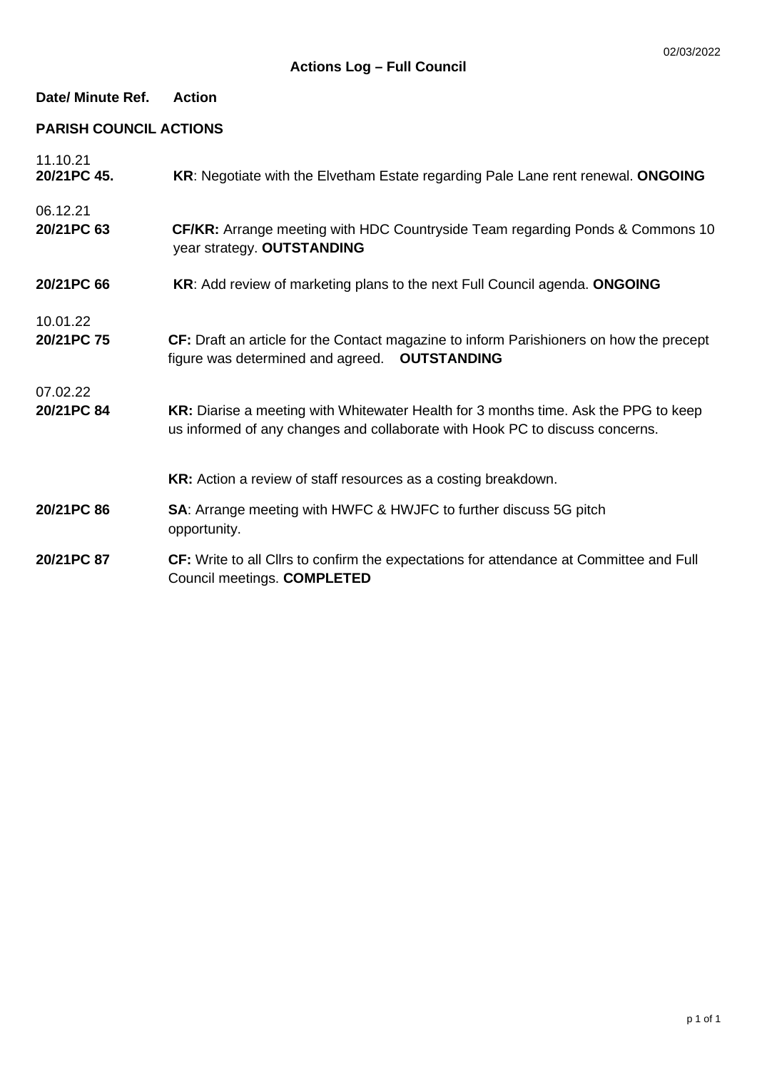# **Date/ Minute Ref. Action**

# **PARISH COUNCIL ACTIONS**

| 11.10.21<br>20/21PC 45. | KR: Negotiate with the Elvetham Estate regarding Pale Lane rent renewal. ONGOING                                                                                    |
|-------------------------|---------------------------------------------------------------------------------------------------------------------------------------------------------------------|
| 06.12.21<br>20/21PC 63  | CF/KR: Arrange meeting with HDC Countryside Team regarding Ponds & Commons 10<br>year strategy. OUTSTANDING                                                         |
| 20/21PC 66              | KR: Add review of marketing plans to the next Full Council agenda. ONGOING                                                                                          |
| 10.01.22<br>20/21PC 75  | CF: Draft an article for the Contact magazine to inform Parishioners on how the precept<br>figure was determined and agreed.  OUTSTANDING                           |
| 07.02.22<br>20/21PC 84  | KR: Diarise a meeting with Whitewater Health for 3 months time. Ask the PPG to keep<br>us informed of any changes and collaborate with Hook PC to discuss concerns. |
|                         | KR: Action a review of staff resources as a costing breakdown.                                                                                                      |
| 20/21PC 86              | <b>SA:</b> Arrange meeting with HWFC & HWJFC to further discuss 5G pitch<br>opportunity.                                                                            |
| 20/21PC 87              | CF: Write to all Clirs to confirm the expectations for attendance at Committee and Full<br>Council meetings. COMPLETED                                              |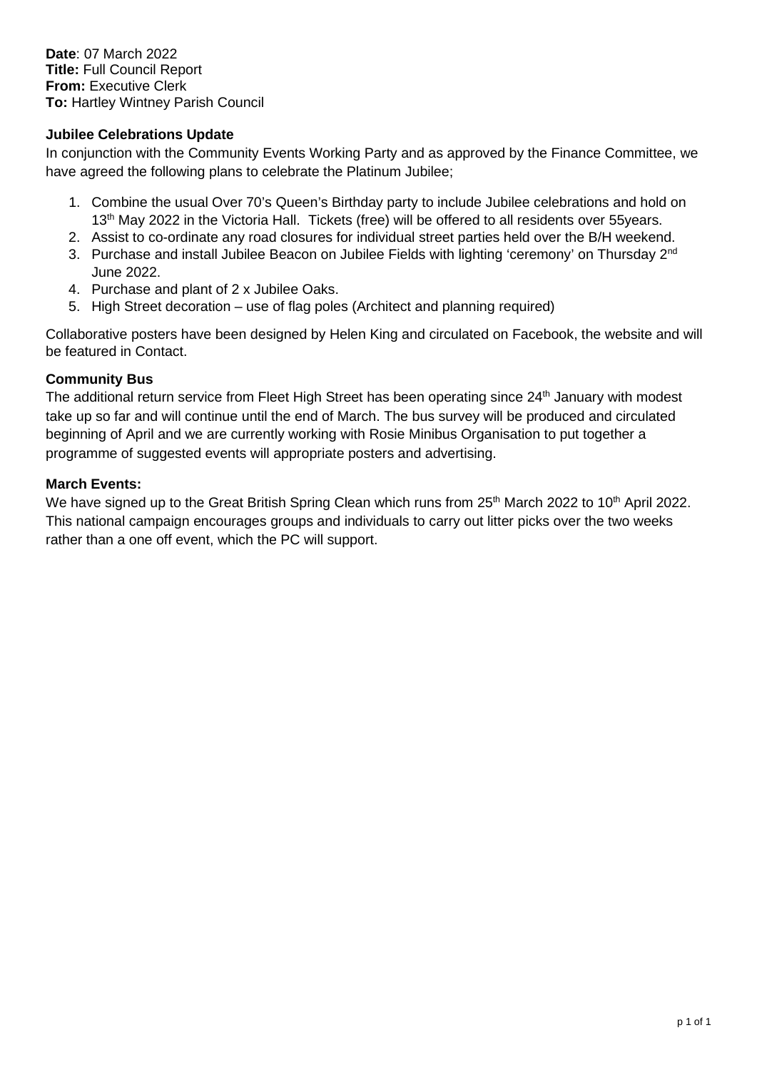**Date**: 07 March 2022 **Title:** Full Council Report **From:** Executive Clerk **To:** Hartley Wintney Parish Council

## **Jubilee Celebrations Update**

In conjunction with the Community Events Working Party and as approved by the Finance Committee, we have agreed the following plans to celebrate the Platinum Jubilee;

- 1. Combine the usual Over 70's Queen's Birthday party to include Jubilee celebrations and hold on 13<sup>th</sup> May 2022 in the Victoria Hall. Tickets (free) will be offered to all residents over 55years.
- 2. Assist to co-ordinate any road closures for individual street parties held over the B/H weekend.
- 3. Purchase and install Jubilee Beacon on Jubilee Fields with lighting 'ceremony' on Thursday 2<sup>nd</sup> June 2022.
- 4. Purchase and plant of 2 x Jubilee Oaks.
- 5. High Street decoration use of flag poles (Architect and planning required)

Collaborative posters have been designed by Helen King and circulated on Facebook, the website and will be featured in Contact.

## **Community Bus**

The additional return service from Fleet High Street has been operating since 24<sup>th</sup> January with modest take up so far and will continue until the end of March. The bus survey will be produced and circulated beginning of April and we are currently working with Rosie Minibus Organisation to put together a programme of suggested events will appropriate posters and advertising.

## **March Events:**

We have signed up to the Great British Spring Clean which runs from 25<sup>th</sup> March 2022 to 10<sup>th</sup> April 2022. This national campaign encourages groups and individuals to carry out litter picks over the two weeks rather than a one off event, which the PC will support.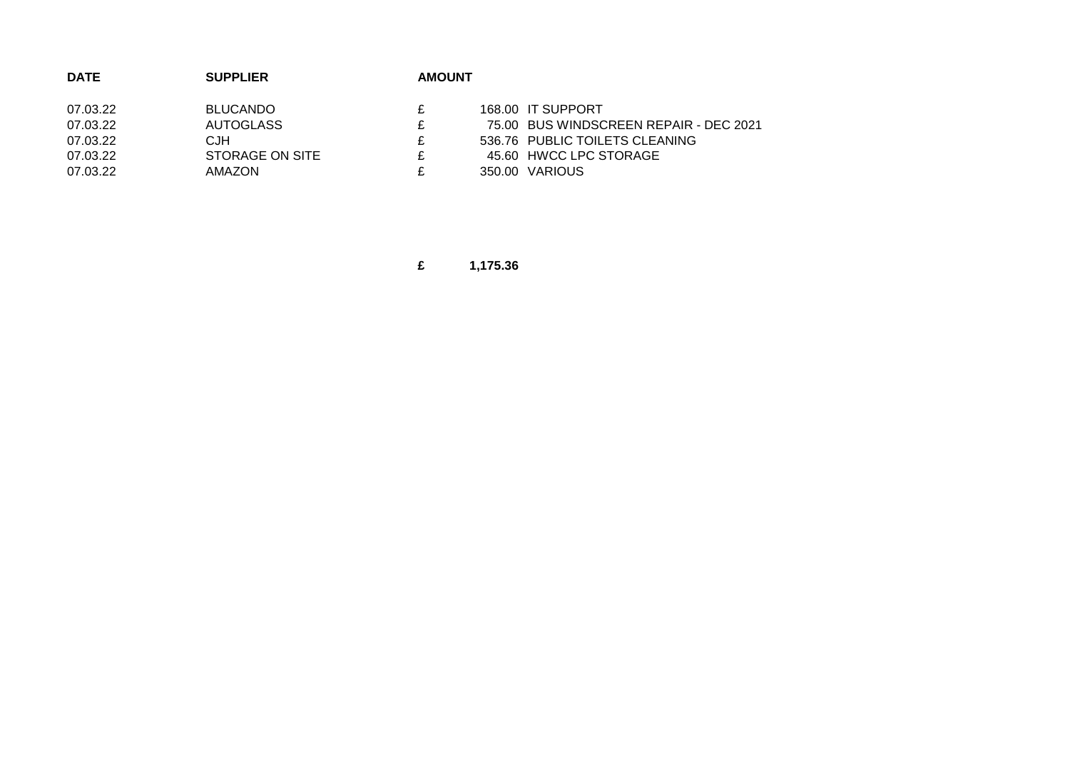| <b>DATE</b> | <b>SUPPLIER</b>  | <b>AMOUNT</b> |                                        |
|-------------|------------------|---------------|----------------------------------------|
| 07.03.22    | <b>BLUCANDO</b>  |               | 168.00 IT SUPPORT                      |
| 07.03.22    | <b>AUTOGLASS</b> |               | 75.00 BUS WINDSCREEN REPAIR - DEC 2021 |
| 07.03.22    | CJH              | £.            | 536.76 PUBLIC TOILETS CLEANING         |
| 07.03.22    | STORAGE ON SITE  | c.            | 45.60 HWCC LPC STORAGE                 |
| 07.03.22    | AMAZON           |               | 350.00 VARIOUS                         |

**£ 1,175.36**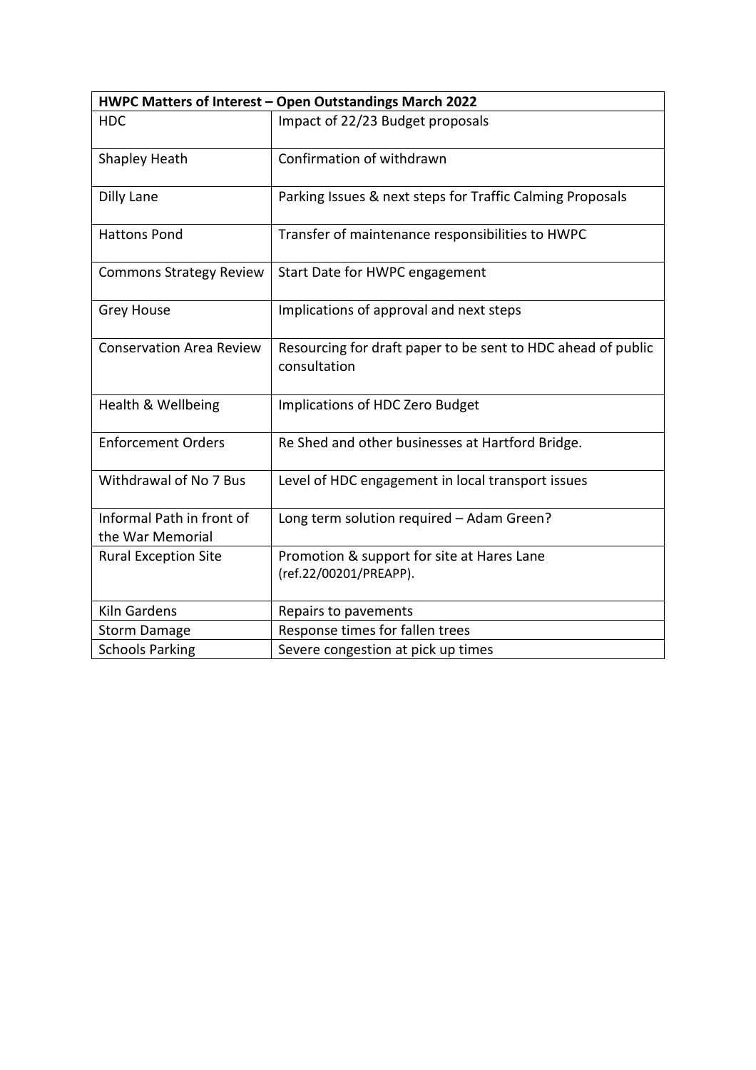| HWPC Matters of Interest - Open Outstandings March 2022 |                                                                              |  |  |  |
|---------------------------------------------------------|------------------------------------------------------------------------------|--|--|--|
| <b>HDC</b>                                              | Impact of 22/23 Budget proposals                                             |  |  |  |
| Shapley Heath                                           | Confirmation of withdrawn                                                    |  |  |  |
| Dilly Lane                                              | Parking Issues & next steps for Traffic Calming Proposals                    |  |  |  |
| <b>Hattons Pond</b>                                     | Transfer of maintenance responsibilities to HWPC                             |  |  |  |
| <b>Commons Strategy Review</b>                          | Start Date for HWPC engagement                                               |  |  |  |
| <b>Grey House</b>                                       | Implications of approval and next steps                                      |  |  |  |
| <b>Conservation Area Review</b>                         | Resourcing for draft paper to be sent to HDC ahead of public<br>consultation |  |  |  |
| Health & Wellbeing                                      | Implications of HDC Zero Budget                                              |  |  |  |
| <b>Enforcement Orders</b>                               | Re Shed and other businesses at Hartford Bridge.                             |  |  |  |
| Withdrawal of No 7 Bus                                  | Level of HDC engagement in local transport issues                            |  |  |  |
| Informal Path in front of<br>the War Memorial           | Long term solution required - Adam Green?                                    |  |  |  |
| <b>Rural Exception Site</b>                             | Promotion & support for site at Hares Lane<br>(ref.22/00201/PREAPP).         |  |  |  |
| <b>Kiln Gardens</b>                                     | Repairs to pavements                                                         |  |  |  |
| <b>Storm Damage</b>                                     | Response times for fallen trees                                              |  |  |  |
| <b>Schools Parking</b>                                  | Severe congestion at pick up times                                           |  |  |  |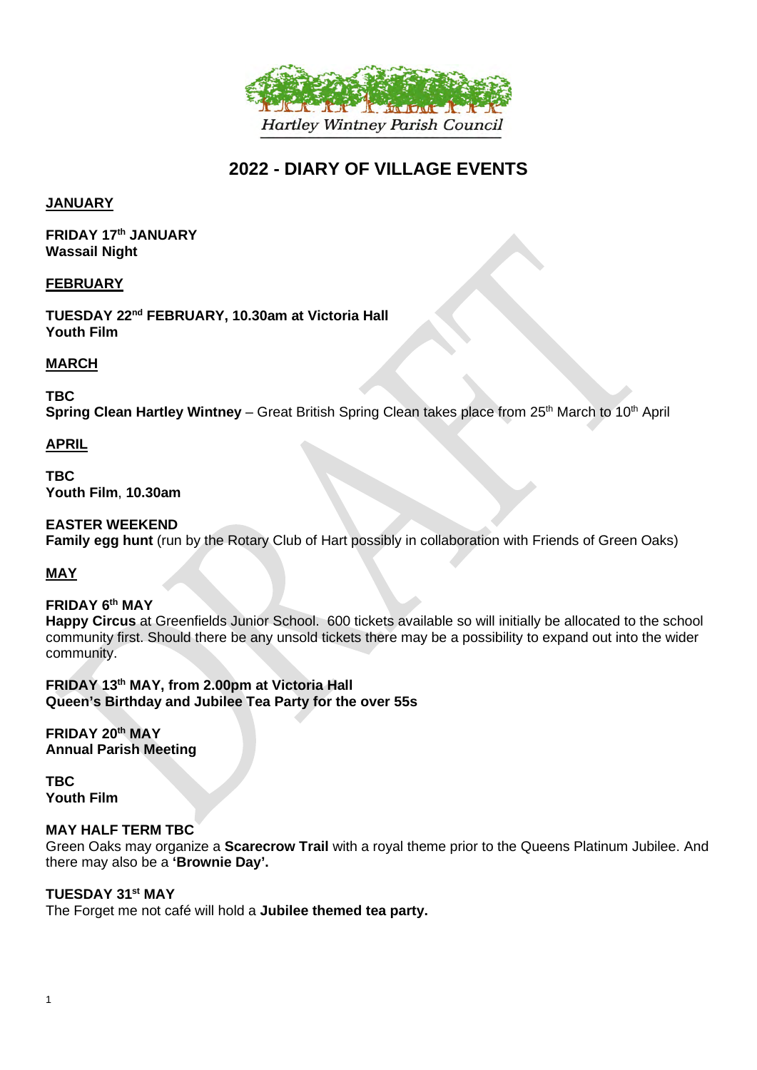

# **2022 - DIARY OF VILLAGE EVENTS**

## **JANUARY**

**FRIDAY 17th JANUARY Wassail Night**

#### **FEBRUARY**

**TUESDAY 22nd FEBRUARY, 10.30am at Victoria Hall Youth Film**

## **MARCH**

**TBC Spring Clean Hartley Wintney** – Great British Spring Clean takes place from 25<sup>th</sup> March to 10<sup>th</sup> April

## **APRIL**

**TBC Youth Film**, **10.30am**

## **EASTER WEEKEND**

**Family egg hunt** (run by the Rotary Club of Hart possibly in collaboration with Friends of Green Oaks)

# **MAY**

#### **FRIDAY 6th MAY**

**Happy Circus** at Greenfields Junior School. 600 tickets available so will initially be allocated to the school community first. Should there be any unsold tickets there may be a possibility to expand out into the wider community.

**FRIDAY 13th MAY, from 2.00pm at Victoria Hall Queen's Birthday and Jubilee Tea Party for the over 55s**

**FRIDAY 20th MAY Annual Parish Meeting**

**TBC Youth Film**

#### **MAY HALF TERM TBC**

Green Oaks may organize a **Scarecrow Trail** with a royal theme prior to the Queens Platinum Jubilee. And there may also be a **'Brownie Day'.**

#### **TUESDAY 31st MAY**

The Forget me not café will hold a **Jubilee themed tea party.**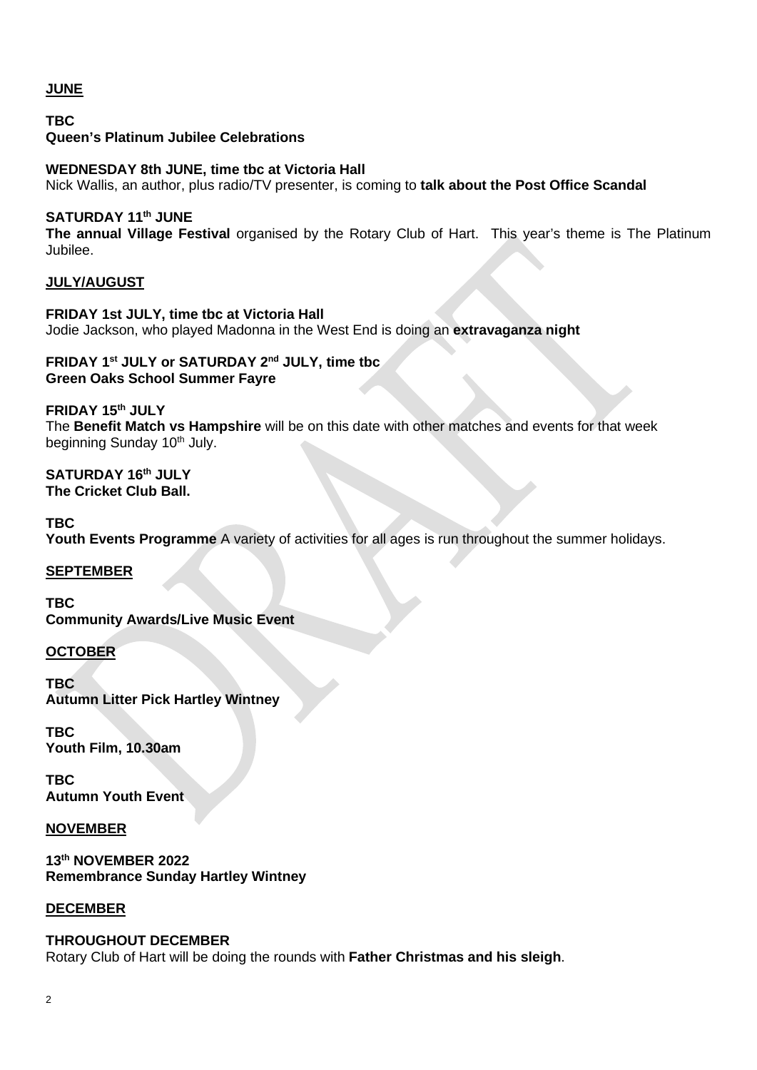# **JUNE**

**TBC Queen's Platinum Jubilee Celebrations**

**WEDNESDAY 8th JUNE, time tbc at Victoria Hall** Nick Wallis, an author, plus radio/TV presenter, is coming to **talk about the Post Office Scandal**

# **SATURDAY 11th JUNE**

**The annual Village Festival** organised by the Rotary Club of Hart.This year's theme is The Platinum Jubilee.

#### **JULY/AUGUST**

**FRIDAY 1st JULY, time tbc at Victoria Hall** Jodie Jackson, who played Madonna in the West End is doing an **extravaganza night**

#### **FRIDAY 1st JULY or SATURDAY 2nd JULY, time tbc Green Oaks School Summer Fayre**

**FRIDAY 15th JULY** The **Benefit Match vs Hampshire** will be on this date with other matches and events for that week beginning Sunday 10<sup>th</sup> July.

#### **SATURDAY 16th JULY The Cricket Club Ball.**

**TBC** Youth Events Programme A variety of activities for all ages is run throughout the summer holidays.

# **SEPTEMBER**

**TBC Community Awards/Live Music Event**

#### **OCTOBER**

**TBC Autumn Litter Pick Hartley Wintney**

**TBC Youth Film, 10.30am**

**TBC Autumn Youth Event**

**NOVEMBER**

**13th NOVEMBER 2022 Remembrance Sunday Hartley Wintney**

#### **DECEMBER**

#### **THROUGHOUT DECEMBER**

Rotary Club of Hart will be doing the rounds with **Father Christmas and his sleigh**.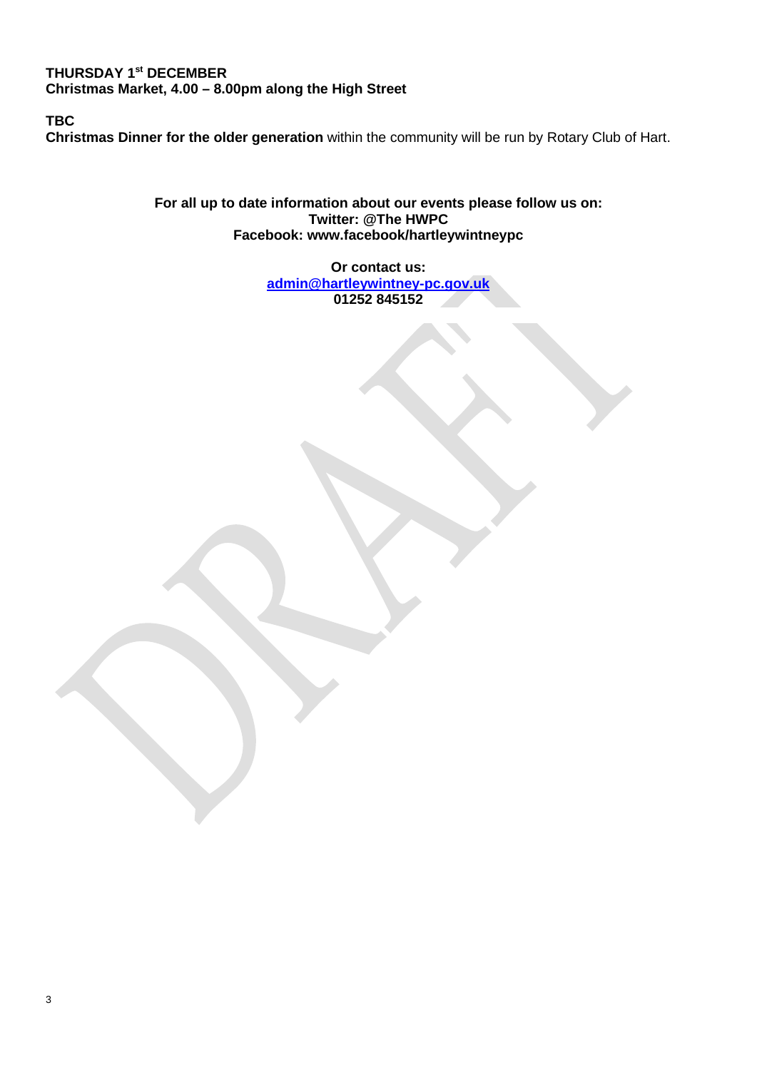# **THURSDAY 1st DECEMBER Christmas Market, 4.00 – 8.00pm along the High Street**

**TBC**

**Christmas Dinner for the older generation** within the community will be run by Rotary Club of Hart.

**For all up to date information about our events please follow us on: Twitter: @The [HWPC](https://twitter.com/thehwpc?lang=en) Facebook: [www.facebook/hartleywintneypc](http://www.facebook/hartleywintneypc)**

> **Or contact us: [admin@hartleywintney-pc.gov.uk](mailto:admin@hartleywintney-pc.gov.uk)  01252 845152**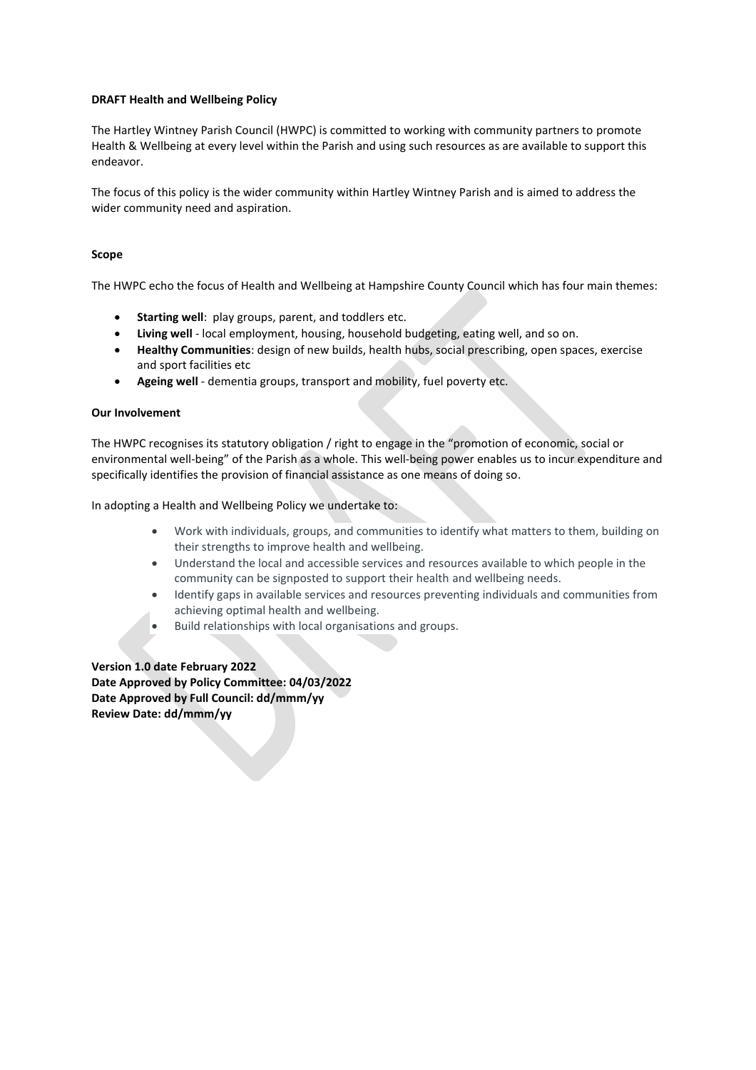#### **DRAFT Health and Wellbeing Policy**

The Hartley Wintney Parish Council (HWPC) is committed to working with community partners to promote Health & Wellbeing at every level within the Parish and using such resources as are available to support this endeavor.

The focus of this policy is the wider community within Hartley Wintney Parish and is aimed to address the wider community need and aspiration.

#### **Scope**

The HWPC echo the focus of Health and Wellbeing at Hampshire County Council which has four main themes:

- **Starting well:** play groups, parent, and toddlers etc.
- **Living well** local employment, housing, household budgeting, eating well, and so on.
- **Healthy Communities**: design of new builds, health hubs, social prescribing, open spaces, exercise and sport facilities etc
- **Ageing well** dementia groups, transport and mobility, fuel poverty etc.

#### **Our Involvement**

The HWPC recognises its statutory obligation / right to engage in the "promotion of economic, social or environmental well-being" of the Parish as a whole. This well-being power enables us to incur expenditure and specifically identifies the provision of financial assistance as one means of doing so.

In adopting a Health and Wellbeing Policy we undertake to:

- Work with individuals, groups, and communities to identify what matters to them, building on their strengths to improve health and wellbeing.
- Understand the local and accessible services and resources available to which people in the community can be signposted to support their health and wellbeing needs.
- Identify gaps in available services and resources preventing individuals and communities from achieving optimal health and wellbeing.
- Build relationships with local organisations and groups.

**Version 1.0 date February 2022 Date Approved by Policy Committee: 04/03/2022 Date Approved by Full Council: dd/mmm/yy Review Date: dd/mmm/yy**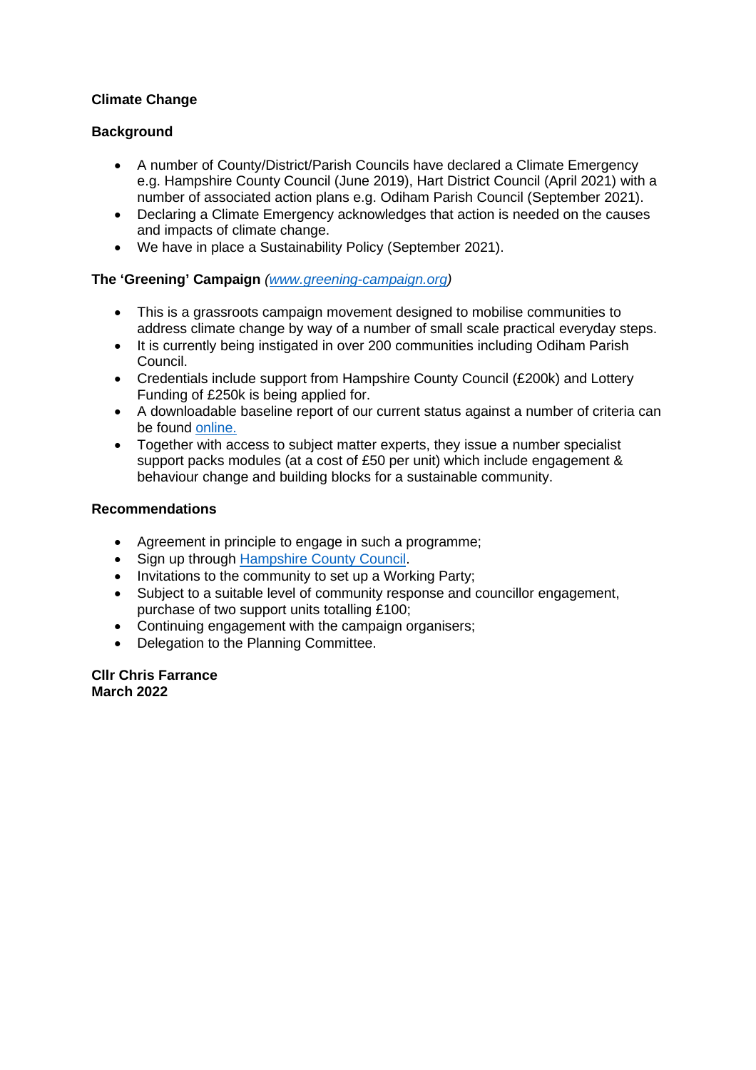# **Climate Change**

## **Background**

- A number of County/District/Parish Councils have declared a Climate Emergency e.g. Hampshire County Council (June 2019), Hart District Council (April 2021) with a number of associated action plans e.g. Odiham Parish Council (September 2021).
- Declaring a Climate Emergency acknowledges that action is needed on the causes and impacts of climate change.
- We have in place a Sustainability Policy (September 2021).

## **The 'Greening' Campaign** *[\(www.greening-campaign.org\)](http://www.greening-campaign.org/)*

- This is a grassroots campaign movement designed to mobilise communities to address climate change by way of a number of small scale practical everyday steps.
- It is currently being instigated in over 200 communities including Odiham Parish Council.
- Credentials include support from Hampshire County Council (£200k) and Lottery Funding of £250k is being applied for.
- A downloadable baseline report of our current status against a number of criteria can be found [online.](https://impact-tool.org.uk/footprint/footprint?regionId=E04012061&geography=parish&footprintType=consumption&scale=per-household)
- Together with access to subject matter experts, they issue a number specialist support packs modules (at a cost of £50 per unit) which include engagement & behaviour change and building blocks for a sustainable community.

#### **Recommendations**

- Agreement in principle to engage in such a programme;
- Sign up through [Hampshire County Council.](http://www.greening-campaign.org/hampshire-groups.html)
- Invitations to the community to set up a Working Party;
- Subject to a suitable level of community response and councillor engagement, purchase of two support units totalling £100;
- Continuing engagement with the campaign organisers;
- Delegation to the Planning Committee.

**Cllr Chris Farrance March 2022**